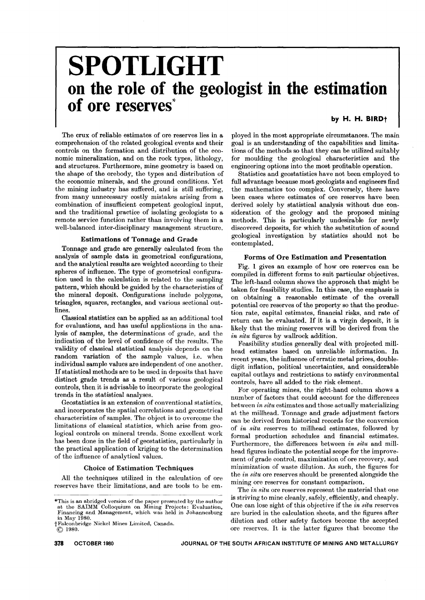# **SPOTLIGHT on the role of the geologist in the estimation of ore reserves\***

# **by H. H. BIRDt**

The crux of reliable estimates of ore reserves lies in a comprehension of the related geological events and their controls on the formation and distribution of the economic mineralization, and on the rock types, lithology, and structures. Furthermore, mine geometry is based on the shape of the ore body, the types and distribution of the economic minerals, and the ground conditions. Yet the mining industry has suffered, and is still suffering, from many unnecessary costly mistakes arising from a combination of insufficient competent geological input, and the traditional practice of isolating geologists to a remote service function rather than involving them in a well-balanced inter-disciplinary management structure.

# Estimations of Tonnage and Grade

Tonnage and grade are generally calculated from the analysis of sample data in geometrical configurations, and the analytical results are weighted according to their spheres of influence. The type of geometrical configuration used in the calculation is related to the sampling pattern, which should be guided by the characteristics of the mineral deposit. Configurations include polygons, triangles, squares, rectangles, and various sectional outlines.

Classical statistics can be applied as an additional tool for evaluations, and has useful applications in the analysis of samples, the determinations of grade, and the indication of the level of confidence of the results. The validity of classical statistical analysis depends on the random variation of the sample values, i.e. when individual sample values are independent of one another. If statistical methods are to be used in deposits that have distinct grade trends as a result of various geological controls, then it is advisable to incorporate the geological trends in the statistical analyses.

Geostatistics is an extension of conventional statistics, and incorporates the spatial correlations and geometrical characteristics of samples. The object is to overcome the limitations of classical statistics, which arise from geological controls on mineral trends. Some excellent work has been done in the field of geostatistics, particularly in the practical application of kriging to the determination of the influence of analytical values.

#### Choice of Estimation Techniques

All the techniques utilized in the calculation of ore reserves have their limitations, and are tools to be em-

tFalconbridge Nickel Mines Limited, Canada.  $\odot$  1980.

ployed in the most appropriate circumstances. The main goal is an understanding of the capabilities and limitations of the methods so that they can be utilized suitably for moulding the geological characteristics and the engineering options into the most profitable operation.

Statistics and geostatistics have not been employed to full advantage because most geologists and engineers find the mathematics too complex. Conversely, there have been cases where estimates of ore reserves have been derived solely by statistical analysis without due consideration of the geology and the proposed mining methods. This is particularly undesirable for newly discovered deposits, for which the substitution of sound geological investigation by statistics should not be contemplated.

#### Forms of Ore Estimation and Presentation

Fig. 1 gives an example of how ore reserves can be compiled in different forms to suit particular objectives. The left-hand column shows the approach that might be taken for feasibility studies. In this case, the emphasis is on obtaining a reasonable estimate of the overall potential ore reserves of the property so that the production rate, capital estimates, financial risks, and rate of return can be evaluated. If it is a virgin deposit, it is likely that the mining reserves will be derived from the *in situ* figures by wallrock addition.

Feasibility studies generally deal with projected millhead estimates based on unreliable information. In recent years, the influence of erratic metal prices, doubledigit inflation, political uncertainties, and considerable capital outlays and restrictions to satisfy environmental controls, have all added to the risk element.

For operating mines, the right-hand column shows a number of factors that could account for the differences between *in situ* estimates and those actually materializing at the millhead. Tonnage and grade adjustment factors can be derived from historical records for the conversion of *in situ* reserves to millhead estimates, followed by formal production schedules and financial estimates. Furthermore, the differences between *in situ* and millhead figures indicate the potential scope for the improvement of grade control, maximization of ore recovery, and minimization of waste dilution. As such, the figures for the *in situ* ore reserves should be presented alongside the mining ore reserves for constant comparison.

The *in situ* ore reserves represent the material that one is striving to mine cleanly, safely, efficiently, and cheaply. One can lose sight of this objective if the *in situ* reserves are buried in the calculation sheets, and the figures after dilution and other safety factors become the accepted ore reserves. It is the latter figures that become the

<sup>\*</sup>This is an abridged version of the paper presented by the author<br>at the SAIMM Colloquium on Mining Projects: Evaluation<br>Financing and Management, which was held in Johannesbur in May 1980.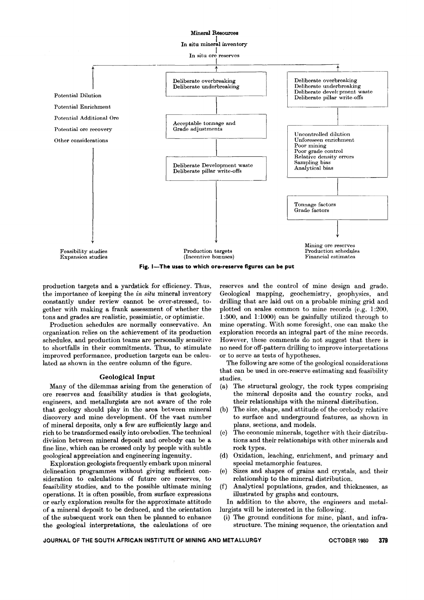

**Fig. I-The uses to which ore-reserve figures can be put**

production targets and a yardstick for efficiency. Thus, the importance of keeping the *in situ* mineral inventory constantly under review cannot be over-stressed, together with making a frank assessment of whether the tons and grades are realistic, pessimistic, or optimistic.

Production schedules are normally conservative. An organization relies on the achievement of its production schedules, and production teams are personally sensitive to shortfalls in their commitments. Thus, to stimulate improved performance, production targets can be calcu. lated as shown in the centre column of the figure.

## Geological Input

Many of the dilemmas arising from the generation of ore reserves and feasibility studies is that geologists, engineers, and metallurgists are not aware of the role that geology should play in the area between mineral discovery and mine development. Of the vast number of mineral deposits, only a few are sufficiently large and rich to be transformed easily into orebodies. The technical division between mineral deposit and orebody can be a fine line, which can be crossed only by people with subtle geological appreciation and engineering ingenuity.

Exploration geologists frequently embark upon mineral delineation programmes without giving sufficient consideration to calculations of future ore reserves, to feasibility studies, and to the possible ultimate mining operations. It is often possible, from surface expressions or early exploration results for the approximate attitude of a mineral deposit to be deduced, and the orientation of the subsequent work can then be planned to enhance the geological interpretations, the calculations of ore reserves and the control of mine design and grade. Geological mapping, geochemistry, geophysics, and drilling that are laid out on a probable mining grid and plotted on scales common to mine records (e.g. 1 :200, 1:500, and 1:1000) can be gainfully utilized through to mine operating. With some foresight, one can make the exploration records an integral part of the mine records. However, these comments do not suggest that there is no need for off-pattern drilling to improve interpretations or to serve as tests of hypotheses.

The following are some of the geological considerations that can be used in ore.reserve estimating and feasibility studies.

- (a) The structural geology, the rock types comprising the mineral deposits and the country rocks, and their relationships with the mineral distribution.
- (b) The size, shape, and attitude of the orebody relative to surface and underground features, as shown in plans, sections, and models.
- (c) The economic minerals, together with their distributions and their relationships with other minerals and rock types. .
- (d) Oxidation, leaching, enrichment, and primary and special metamorphic features.
- (e) Sizes and shapes of grains and crystals, and their relationship to the mineral distribution.
- (f) Analytical populations, grades, and thicknesses, as illustrated by graphs and contours.

In addition to the above, the engineers and metallurgists will be interested in the following.

(i) The ground conditions for mine, plant, and infrastructure. The mining sequence, the orientation and

**JOURNAL OF THE SOUTH AFRICAN INSTITUTE OF MINING AND METALLURGY OCTOBER** 1980 **379**